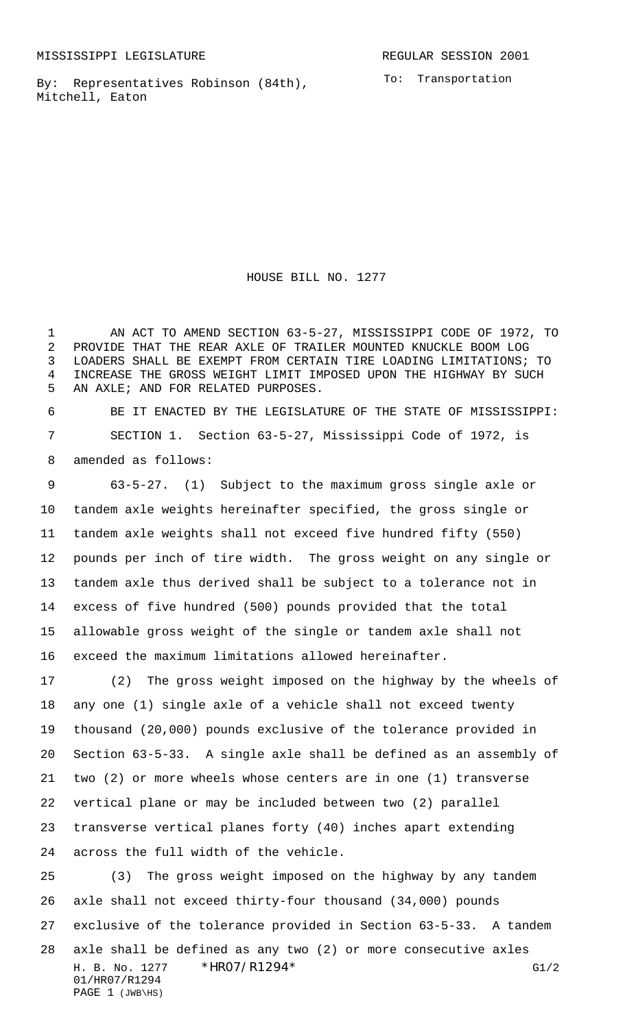By: Representatives Robinson (84th), Mitchell, Eaton

To: Transportation

HOUSE BILL NO. 1277

 AN ACT TO AMEND SECTION 63-5-27, MISSISSIPPI CODE OF 1972, TO PROVIDE THAT THE REAR AXLE OF TRAILER MOUNTED KNUCKLE BOOM LOG LOADERS SHALL BE EXEMPT FROM CERTAIN TIRE LOADING LIMITATIONS; TO INCREASE THE GROSS WEIGHT LIMIT IMPOSED UPON THE HIGHWAY BY SUCH AN AXLE; AND FOR RELATED PURPOSES.

 BE IT ENACTED BY THE LEGISLATURE OF THE STATE OF MISSISSIPPI: SECTION 1. Section 63-5-27, Mississippi Code of 1972, is amended as follows:

 63-5-27. (1) Subject to the maximum gross single axle or tandem axle weights hereinafter specified, the gross single or tandem axle weights shall not exceed five hundred fifty (550) pounds per inch of tire width. The gross weight on any single or tandem axle thus derived shall be subject to a tolerance not in excess of five hundred (500) pounds provided that the total allowable gross weight of the single or tandem axle shall not exceed the maximum limitations allowed hereinafter.

 (2) The gross weight imposed on the highway by the wheels of any one (1) single axle of a vehicle shall not exceed twenty thousand (20,000) pounds exclusive of the tolerance provided in Section 63-5-33. A single axle shall be defined as an assembly of two (2) or more wheels whose centers are in one (1) transverse vertical plane or may be included between two (2) parallel transverse vertical planes forty (40) inches apart extending across the full width of the vehicle.

H. B. No. 1277 \* HRO7/R1294 \* G1/2 01/HR07/R1294 PAGE 1 (JWB\HS) (3) The gross weight imposed on the highway by any tandem axle shall not exceed thirty-four thousand (34,000) pounds exclusive of the tolerance provided in Section 63-5-33. A tandem axle shall be defined as any two (2) or more consecutive axles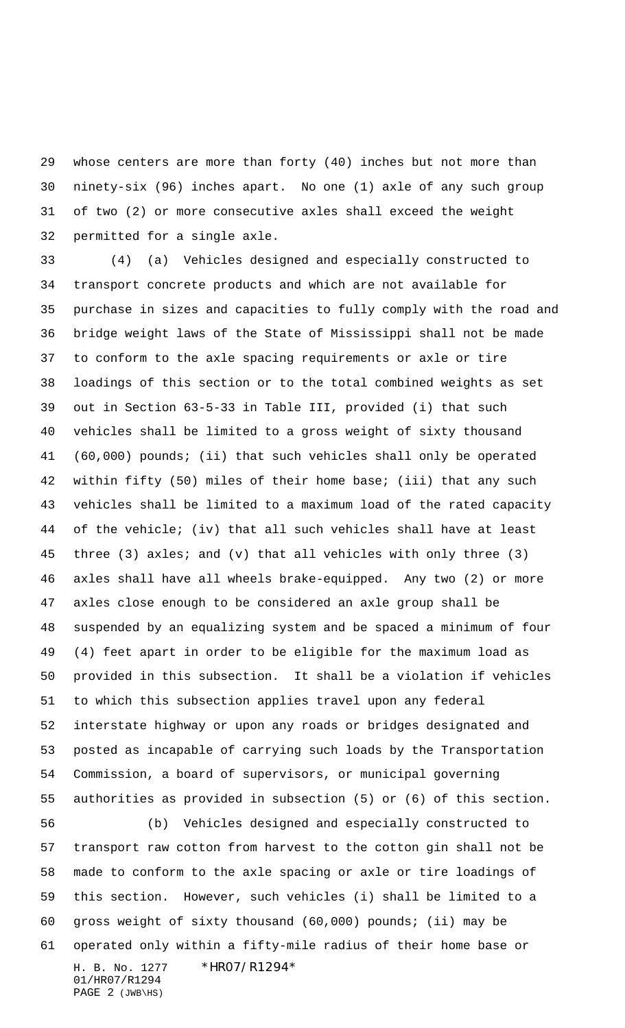whose centers are more than forty (40) inches but not more than ninety-six (96) inches apart. No one (1) axle of any such group of two (2) or more consecutive axles shall exceed the weight permitted for a single axle.

 (4) (a) Vehicles designed and especially constructed to transport concrete products and which are not available for purchase in sizes and capacities to fully comply with the road and bridge weight laws of the State of Mississippi shall not be made to conform to the axle spacing requirements or axle or tire loadings of this section or to the total combined weights as set out in Section 63-5-33 in Table III, provided (i) that such vehicles shall be limited to a gross weight of sixty thousand (60,000) pounds; (ii) that such vehicles shall only be operated within fifty (50) miles of their home base; (iii) that any such vehicles shall be limited to a maximum load of the rated capacity of the vehicle; (iv) that all such vehicles shall have at least three (3) axles; and (v) that all vehicles with only three (3) axles shall have all wheels brake-equipped. Any two (2) or more axles close enough to be considered an axle group shall be suspended by an equalizing system and be spaced a minimum of four (4) feet apart in order to be eligible for the maximum load as provided in this subsection. It shall be a violation if vehicles to which this subsection applies travel upon any federal interstate highway or upon any roads or bridges designated and posted as incapable of carrying such loads by the Transportation Commission, a board of supervisors, or municipal governing authorities as provided in subsection (5) or (6) of this section.

H. B. No. 1277 \* HRO7/R1294\* 01/HR07/R1294 (b) Vehicles designed and especially constructed to transport raw cotton from harvest to the cotton gin shall not be made to conform to the axle spacing or axle or tire loadings of this section. However, such vehicles (i) shall be limited to a gross weight of sixty thousand (60,000) pounds; (ii) may be operated only within a fifty-mile radius of their home base or

PAGE 2 (JWB\HS)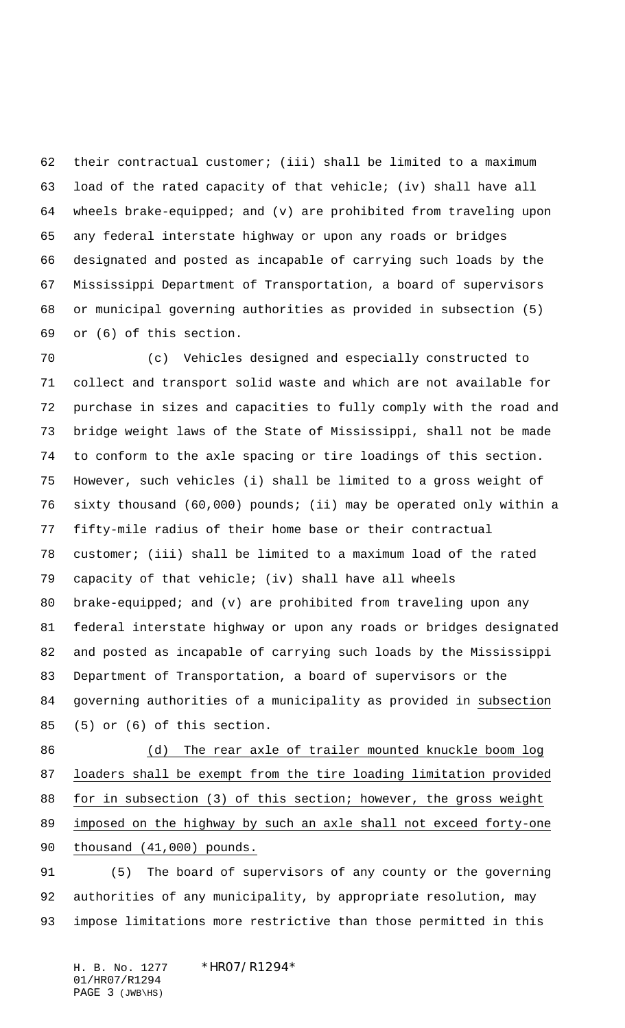their contractual customer; (iii) shall be limited to a maximum load of the rated capacity of that vehicle; (iv) shall have all wheels brake-equipped; and (v) are prohibited from traveling upon any federal interstate highway or upon any roads or bridges designated and posted as incapable of carrying such loads by the Mississippi Department of Transportation, a board of supervisors or municipal governing authorities as provided in subsection (5) or (6) of this section.

 (c) Vehicles designed and especially constructed to collect and transport solid waste and which are not available for purchase in sizes and capacities to fully comply with the road and bridge weight laws of the State of Mississippi, shall not be made to conform to the axle spacing or tire loadings of this section. However, such vehicles (i) shall be limited to a gross weight of sixty thousand (60,000) pounds; (ii) may be operated only within a fifty-mile radius of their home base or their contractual customer; (iii) shall be limited to a maximum load of the rated capacity of that vehicle; (iv) shall have all wheels brake-equipped; and (v) are prohibited from traveling upon any federal interstate highway or upon any roads or bridges designated and posted as incapable of carrying such loads by the Mississippi Department of Transportation, a board of supervisors or the governing authorities of a municipality as provided in subsection (5) or (6) of this section.

86 (d) The rear axle of trailer mounted knuckle boom log loaders shall be exempt from the tire loading limitation provided for in subsection (3) of this section; however, the gross weight 89 imposed on the highway by such an axle shall not exceed forty-one thousand (41,000) pounds.

 (5) The board of supervisors of any county or the governing authorities of any municipality, by appropriate resolution, may impose limitations more restrictive than those permitted in this

H. B. No. 1277 \* HRO7/R1294\* 01/HR07/R1294 PAGE 3 (JWB\HS)